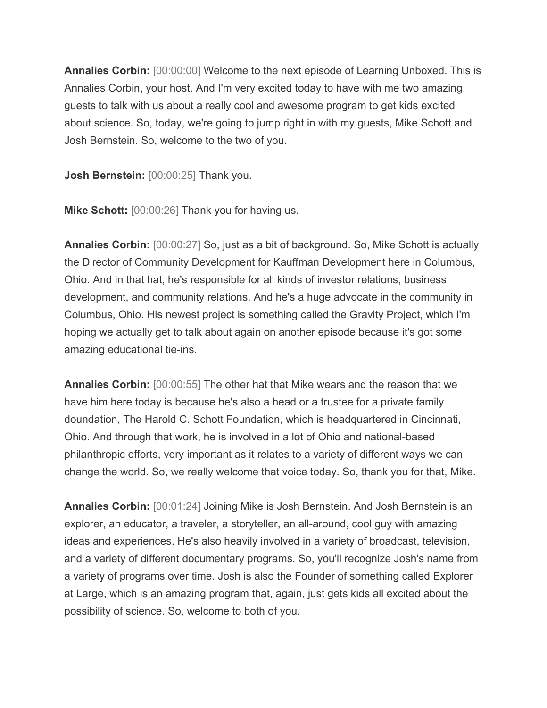**Annalies Corbin:** [00:00:00] Welcome to the next episode of Learning Unboxed. This is Annalies Corbin, your host. And I'm very excited today to have with me two amazing guests to talk with us about a really cool and awesome program to get kids excited about science. So, today, we're going to jump right in with my guests, Mike Schott and Josh Bernstein. So, welcome to the two of you.

**Josh Bernstein:** [00:00:25] Thank you.

**Mike Schott:** [00:00:26] Thank you for having us.

**Annalies Corbin:** [00:00:27] So, just as a bit of background. So, Mike Schott is actually the Director of Community Development for Kauffman Development here in Columbus, Ohio. And in that hat, he's responsible for all kinds of investor relations, business development, and community relations. And he's a huge advocate in the community in Columbus, Ohio. His newest project is something called the Gravity Project, which I'm hoping we actually get to talk about again on another episode because it's got some amazing educational tie-ins.

**Annalies Corbin:** [00:00:55] The other hat that Mike wears and the reason that we have him here today is because he's also a head or a trustee for a private family doundation, The Harold C. Schott Foundation, which is headquartered in Cincinnati, Ohio. And through that work, he is involved in a lot of Ohio and national-based philanthropic efforts, very important as it relates to a variety of different ways we can change the world. So, we really welcome that voice today. So, thank you for that, Mike.

**Annalies Corbin:** [00:01:24] Joining Mike is Josh Bernstein. And Josh Bernstein is an explorer, an educator, a traveler, a storyteller, an all-around, cool guy with amazing ideas and experiences. He's also heavily involved in a variety of broadcast, television, and a variety of different documentary programs. So, you'll recognize Josh's name from a variety of programs over time. Josh is also the Founder of something called Explorer at Large, which is an amazing program that, again, just gets kids all excited about the possibility of science. So, welcome to both of you.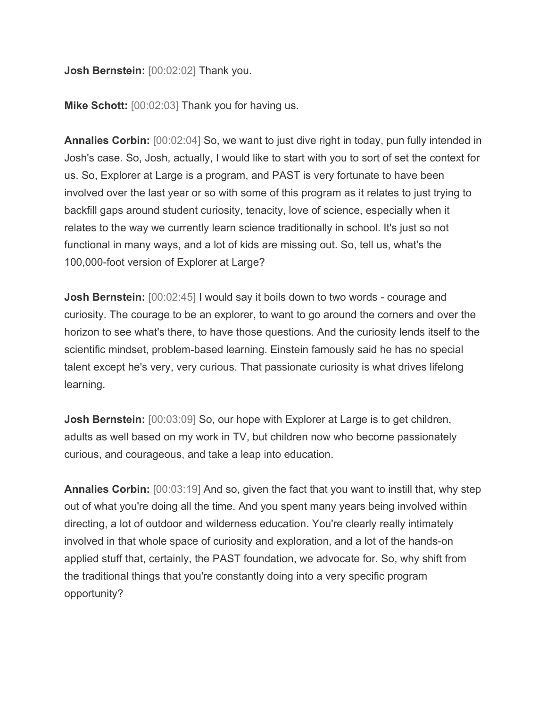## **Josh Bernstein:** [00:02:02] Thank you.

**Mike Schott:** [00:02:03] Thank you for having us.

**Annalies Corbin:** [00:02:04] So, we want to just dive right in today, pun fully intended in Josh's case. So, Josh, actually, I would like to start with you to sort of set the context for us. So, Explorer at Large is a program, and PAST is very fortunate to have been involved over the last year or so with some of this program as it relates to just trying to backfill gaps around student curiosity, tenacity, love of science, especially when it relates to the way we currently learn science traditionally in school. It's just so not functional in many ways, and a lot of kids are missing out. So, tell us, what's the 100,000-foot version of Explorer at Large?

**Josh Bernstein:**  $[00:02:45]$  I would say it boils down to two words - courage and curiosity. The courage to be an explorer, to want to go around the corners and over the horizon to see what's there, to have those questions. And the curiosity lends itself to the scientific mindset, problem-based learning. Einstein famously said he has no special talent except he's very, very curious. That passionate curiosity is what drives lifelong learning.

**Josh Bernstein:** [00:03:09] So, our hope with Explorer at Large is to get children, adults as well based on my work in TV, but children now who become passionately curious, and courageous, and take a leap into education.

**Annalies Corbin:** [00:03:19] And so, given the fact that you want to instill that, why step out of what you're doing all the time. And you spent many years being involved within directing, a lot of outdoor and wilderness education. You're clearly really intimately involved in that whole space of curiosity and exploration, and a lot of the hands-on applied stuff that, certainly, the PAST foundation, we advocate for. So, why shift from the traditional things that you're constantly doing into a very specific program opportunity?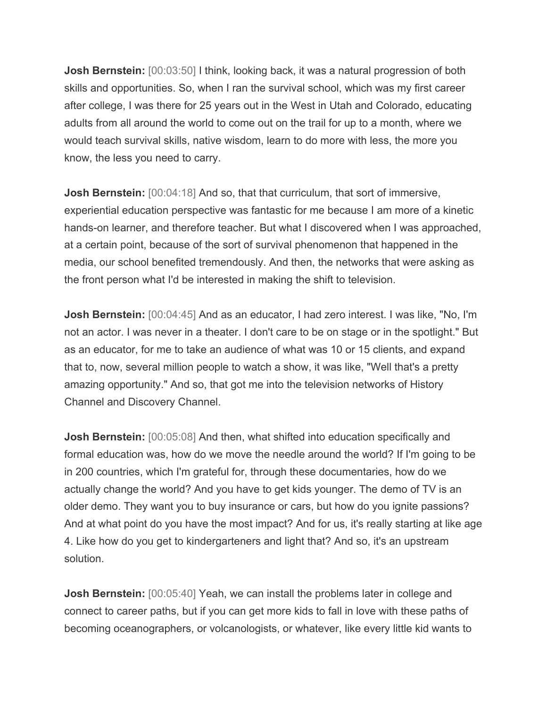**Josh Bernstein:**  $[00:03:50]$  I think, looking back, it was a natural progression of both skills and opportunities. So, when I ran the survival school, which was my first career after college, I was there for 25 years out in the West in Utah and Colorado, educating adults from all around the world to come out on the trail for up to a month, where we would teach survival skills, native wisdom, learn to do more with less, the more you know, the less you need to carry.

**Josh Bernstein:** [00:04:18] And so, that that curriculum, that sort of immersive, experiential education perspective was fantastic for me because I am more of a kinetic hands-on learner, and therefore teacher. But what I discovered when I was approached, at a certain point, because of the sort of survival phenomenon that happened in the media, our school benefited tremendously. And then, the networks that were asking as the front person what I'd be interested in making the shift to television.

**Josh Bernstein:** [00:04:45] And as an educator, I had zero interest. I was like, "No, I'm not an actor. I was never in a theater. I don't care to be on stage or in the spotlight." But as an educator, for me to take an audience of what was 10 or 15 clients, and expand that to, now, several million people to watch a show, it was like, "Well that's a pretty amazing opportunity." And so, that got me into the television networks of History Channel and Discovery Channel.

**Josh Bernstein:** [00:05:08] And then, what shifted into education specifically and formal education was, how do we move the needle around the world? If I'm going to be in 200 countries, which I'm grateful for, through these documentaries, how do we actually change the world? And you have to get kids younger. The demo of TV is an older demo. They want you to buy insurance or cars, but how do you ignite passions? And at what point do you have the most impact? And for us, it's really starting at like age 4. Like how do you get to kindergarteners and light that? And so, it's an upstream solution.

**Josh Bernstein:** [00:05:40] Yeah, we can install the problems later in college and connect to career paths, but if you can get more kids to fall in love with these paths of becoming oceanographers, or volcanologists, or whatever, like every little kid wants to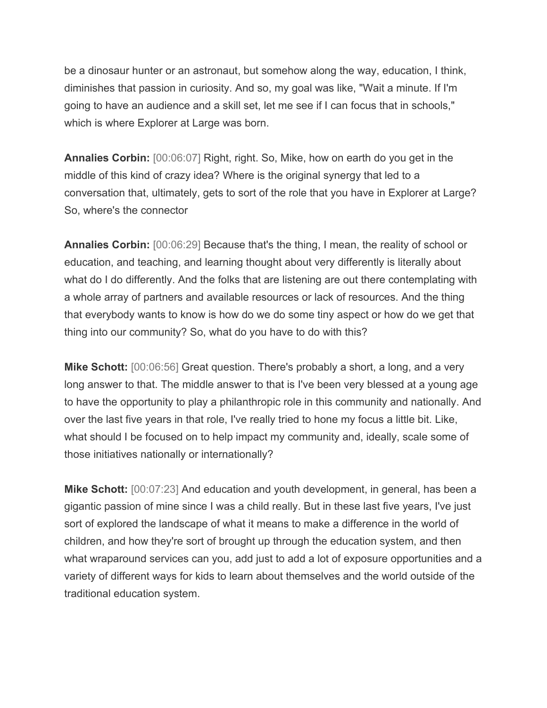be a dinosaur hunter or an astronaut, but somehow along the way, education, I think, diminishes that passion in curiosity. And so, my goal was like, "Wait a minute. If I'm going to have an audience and a skill set, let me see if I can focus that in schools," which is where Explorer at Large was born.

**Annalies Corbin:** [00:06:07] Right, right. So, Mike, how on earth do you get in the middle of this kind of crazy idea? Where is the original synergy that led to a conversation that, ultimately, gets to sort of the role that you have in Explorer at Large? So, where's the connector

**Annalies Corbin:** [00:06:29] Because that's the thing, I mean, the reality of school or education, and teaching, and learning thought about very differently is literally about what do I do differently. And the folks that are listening are out there contemplating with a whole array of partners and available resources or lack of resources. And the thing that everybody wants to know is how do we do some tiny aspect or how do we get that thing into our community? So, what do you have to do with this?

**Mike Schott:** [00:06:56] Great question. There's probably a short, a long, and a very long answer to that. The middle answer to that is I've been very blessed at a young age to have the opportunity to play a philanthropic role in this community and nationally. And over the last five years in that role, I've really tried to hone my focus a little bit. Like, what should I be focused on to help impact my community and, ideally, scale some of those initiatives nationally or internationally?

**Mike Schott:** [00:07:23] And education and youth development, in general, has been a gigantic passion of mine since I was a child really. But in these last five years, I've just sort of explored the landscape of what it means to make a difference in the world of children, and how they're sort of brought up through the education system, and then what wraparound services can you, add just to add a lot of exposure opportunities and a variety of different ways for kids to learn about themselves and the world outside of the traditional education system.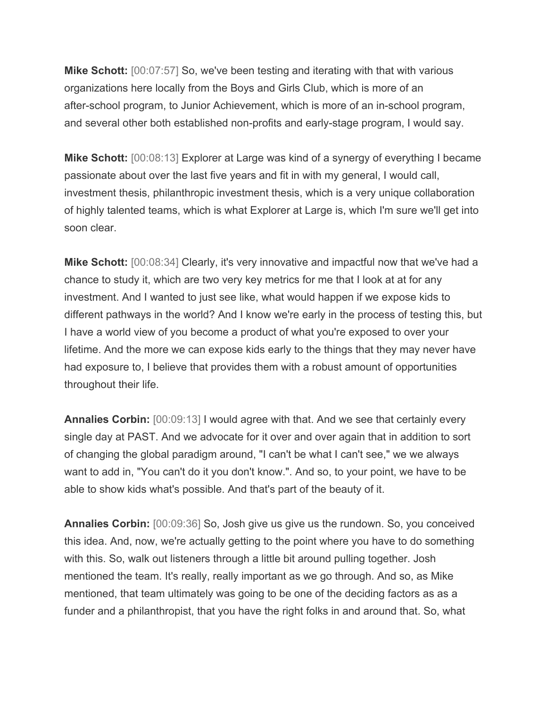**Mike Schott:** [00:07:57] So, we've been testing and iterating with that with various organizations here locally from the Boys and Girls Club, which is more of an after-school program, to Junior Achievement, which is more of an in-school program, and several other both established non-profits and early-stage program, I would say.

**Mike Schott:** [00:08:13] Explorer at Large was kind of a synergy of everything I became passionate about over the last five years and fit in with my general, I would call, investment thesis, philanthropic investment thesis, which is a very unique collaboration of highly talented teams, which is what Explorer at Large is, which I'm sure we'll get into soon clear.

**Mike Schott:** [00:08:34] Clearly, it's very innovative and impactful now that we've had a chance to study it, which are two very key metrics for me that I look at at for any investment. And I wanted to just see like, what would happen if we expose kids to different pathways in the world? And I know we're early in the process of testing this, but I have a world view of you become a product of what you're exposed to over your lifetime. And the more we can expose kids early to the things that they may never have had exposure to, I believe that provides them with a robust amount of opportunities throughout their life.

**Annalies Corbin:** [00:09:13] I would agree with that. And we see that certainly every single day at PAST. And we advocate for it over and over again that in addition to sort of changing the global paradigm around, "I can't be what I can't see," we we always want to add in, "You can't do it you don't know.". And so, to your point, we have to be able to show kids what's possible. And that's part of the beauty of it.

**Annalies Corbin:** [00:09:36] So, Josh give us give us the rundown. So, you conceived this idea. And, now, we're actually getting to the point where you have to do something with this. So, walk out listeners through a little bit around pulling together. Josh mentioned the team. It's really, really important as we go through. And so, as Mike mentioned, that team ultimately was going to be one of the deciding factors as as a funder and a philanthropist, that you have the right folks in and around that. So, what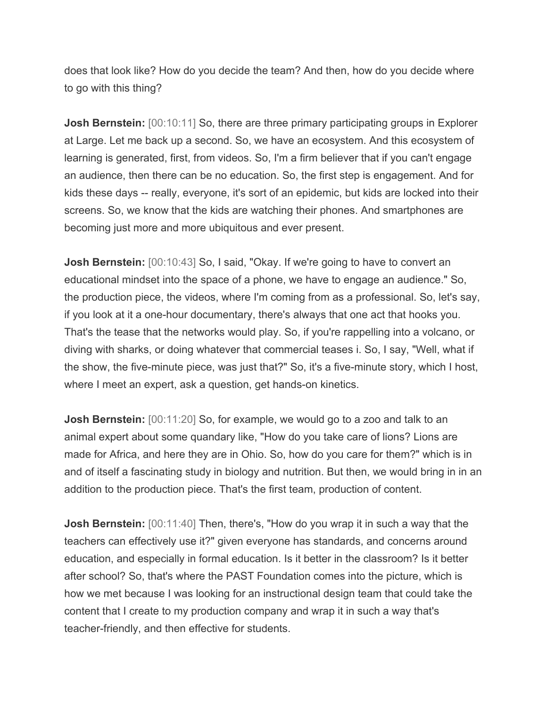does that look like? How do you decide the team? And then, how do you decide where to go with this thing?

**Josh Bernstein:** [00:10:11] So, there are three primary participating groups in Explorer at Large. Let me back up a second. So, we have an ecosystem. And this ecosystem of learning is generated, first, from videos. So, I'm a firm believer that if you can't engage an audience, then there can be no education. So, the first step is engagement. And for kids these days -- really, everyone, it's sort of an epidemic, but kids are locked into their screens. So, we know that the kids are watching their phones. And smartphones are becoming just more and more ubiquitous and ever present.

**Josh Bernstein:** [00:10:43] So, I said, "Okay. If we're going to have to convert an educational mindset into the space of a phone, we have to engage an audience." So, the production piece, the videos, where I'm coming from as a professional. So, let's say, if you look at it a one-hour documentary, there's always that one act that hooks you. That's the tease that the networks would play. So, if you're rappelling into a volcano, or diving with sharks, or doing whatever that commercial teases i. So, I say, "Well, what if the show, the five-minute piece, was just that?" So, it's a five-minute story, which I host, where I meet an expert, ask a question, get hands-on kinetics.

**Josh Bernstein:** [00:11:20] So, for example, we would go to a zoo and talk to an animal expert about some quandary like, "How do you take care of lions? Lions are made for Africa, and here they are in Ohio. So, how do you care for them?" which is in and of itself a fascinating study in biology and nutrition. But then, we would bring in in an addition to the production piece. That's the first team, production of content.

**Josh Bernstein:** [00:11:40] Then, there's, "How do you wrap it in such a way that the teachers can effectively use it?" given everyone has standards, and concerns around education, and especially in formal education. Is it better in the classroom? Is it better after school? So, that's where the PAST Foundation comes into the picture, which is how we met because I was looking for an instructional design team that could take the content that I create to my production company and wrap it in such a way that's teacher-friendly, and then effective for students.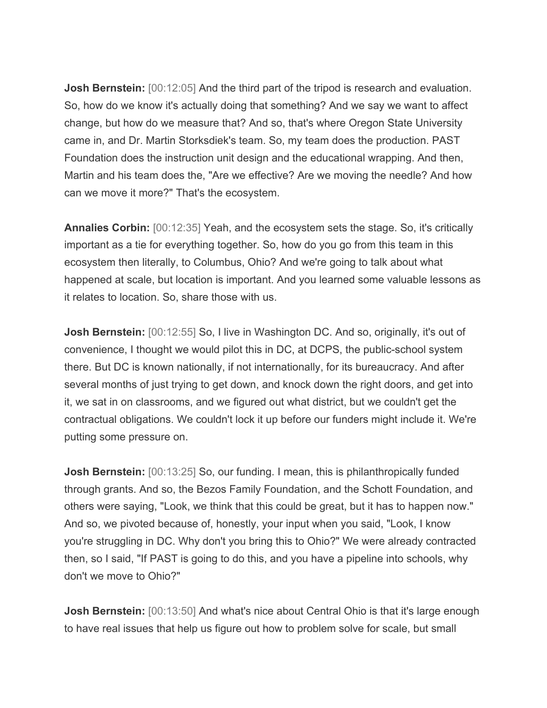**Josh Bernstein:** [00:12:05] And the third part of the tripod is research and evaluation. So, how do we know it's actually doing that something? And we say we want to affect change, but how do we measure that? And so, that's where Oregon State University came in, and Dr. Martin Storksdiek's team. So, my team does the production. PAST Foundation does the instruction unit design and the educational wrapping. And then, Martin and his team does the, "Are we effective? Are we moving the needle? And how can we move it more?" That's the ecosystem.

**Annalies Corbin:** [00:12:35] Yeah, and the ecosystem sets the stage. So, it's critically important as a tie for everything together. So, how do you go from this team in this ecosystem then literally, to Columbus, Ohio? And we're going to talk about what happened at scale, but location is important. And you learned some valuable lessons as it relates to location. So, share those with us.

**Josh Bernstein:** [00:12:55] So, I live in Washington DC. And so, originally, it's out of convenience, I thought we would pilot this in DC, at DCPS, the public-school system there. But DC is known nationally, if not internationally, for its bureaucracy. And after several months of just trying to get down, and knock down the right doors, and get into it, we sat in on classrooms, and we figured out what district, but we couldn't get the contractual obligations. We couldn't lock it up before our funders might include it. We're putting some pressure on.

**Josh Bernstein:** [00:13:25] So, our funding. I mean, this is philanthropically funded through grants. And so, the Bezos Family Foundation, and the Schott Foundation, and others were saying, "Look, we think that this could be great, but it has to happen now." And so, we pivoted because of, honestly, your input when you said, "Look, I know you're struggling in DC. Why don't you bring this to Ohio?" We were already contracted then, so I said, "If PAST is going to do this, and you have a pipeline into schools, why don't we move to Ohio?"

**Josh Bernstein:** [00:13:50] And what's nice about Central Ohio is that it's large enough to have real issues that help us figure out how to problem solve for scale, but small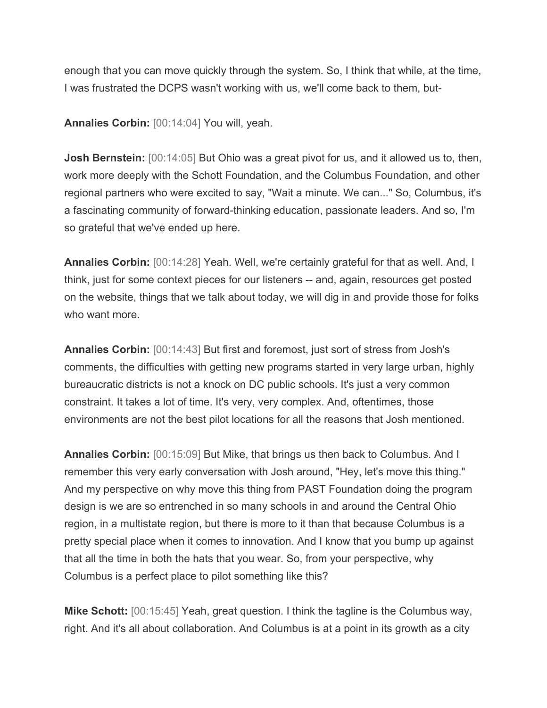enough that you can move quickly through the system. So, I think that while, at the time, I was frustrated the DCPS wasn't working with us, we'll come back to them, but-

**Annalies Corbin:** [00:14:04] You will, yeah.

**Josh Bernstein:** [00:14:05] But Ohio was a great pivot for us, and it allowed us to, then, work more deeply with the Schott Foundation, and the Columbus Foundation, and other regional partners who were excited to say, "Wait a minute. We can..." So, Columbus, it's a fascinating community of forward-thinking education, passionate leaders. And so, I'm so grateful that we've ended up here.

**Annalies Corbin:** [00:14:28] Yeah. Well, we're certainly grateful for that as well. And, I think, just for some context pieces for our listeners -- and, again, resources get posted on the website, things that we talk about today, we will dig in and provide those for folks who want more.

**Annalies Corbin:** [00:14:43] But first and foremost, just sort of stress from Josh's comments, the difficulties with getting new programs started in very large urban, highly bureaucratic districts is not a knock on DC public schools. It's just a very common constraint. It takes a lot of time. It's very, very complex. And, oftentimes, those environments are not the best pilot locations for all the reasons that Josh mentioned.

**Annalies Corbin:** [00:15:09] But Mike, that brings us then back to Columbus. And I remember this very early conversation with Josh around, "Hey, let's move this thing." And my perspective on why move this thing from PAST Foundation doing the program design is we are so entrenched in so many schools in and around the Central Ohio region, in a multistate region, but there is more to it than that because Columbus is a pretty special place when it comes to innovation. And I know that you bump up against that all the time in both the hats that you wear. So, from your perspective, why Columbus is a perfect place to pilot something like this?

**Mike Schott:** [00:15:45] Yeah, great question. I think the tagline is the Columbus way, right. And it's all about collaboration. And Columbus is at a point in its growth as a city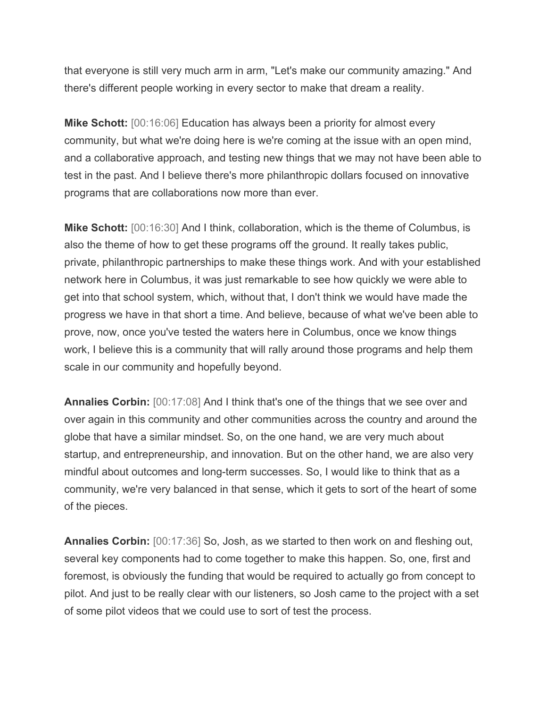that everyone is still very much arm in arm, "Let's make our community amazing." And there's different people working in every sector to make that dream a reality.

**Mike Schott:** [00:16:06] Education has always been a priority for almost every community, but what we're doing here is we're coming at the issue with an open mind, and a collaborative approach, and testing new things that we may not have been able to test in the past. And I believe there's more philanthropic dollars focused on innovative programs that are collaborations now more than ever.

**Mike Schott:** [00:16:30] And I think, collaboration, which is the theme of Columbus, is also the theme of how to get these programs off the ground. It really takes public, private, philanthropic partnerships to make these things work. And with your established network here in Columbus, it was just remarkable to see how quickly we were able to get into that school system, which, without that, I don't think we would have made the progress we have in that short a time. And believe, because of what we've been able to prove, now, once you've tested the waters here in Columbus, once we know things work, I believe this is a community that will rally around those programs and help them scale in our community and hopefully beyond.

**Annalies Corbin:** [00:17:08] And I think that's one of the things that we see over and over again in this community and other communities across the country and around the globe that have a similar mindset. So, on the one hand, we are very much about startup, and entrepreneurship, and innovation. But on the other hand, we are also very mindful about outcomes and long-term successes. So, I would like to think that as a community, we're very balanced in that sense, which it gets to sort of the heart of some of the pieces.

**Annalies Corbin:** [00:17:36] So, Josh, as we started to then work on and fleshing out, several key components had to come together to make this happen. So, one, first and foremost, is obviously the funding that would be required to actually go from concept to pilot. And just to be really clear with our listeners, so Josh came to the project with a set of some pilot videos that we could use to sort of test the process.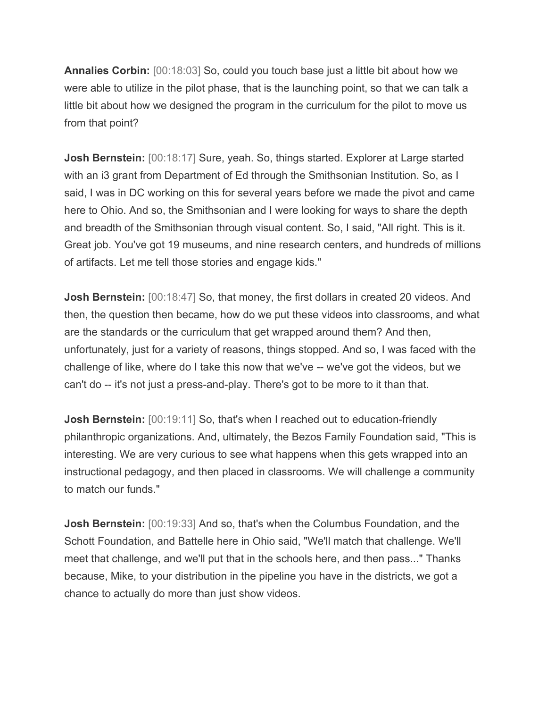**Annalies Corbin:** [00:18:03] So, could you touch base just a little bit about how we were able to utilize in the pilot phase, that is the launching point, so that we can talk a little bit about how we designed the program in the curriculum for the pilot to move us from that point?

**Josh Bernstein:** [00:18:17] Sure, yeah. So, things started. Explorer at Large started with an i3 grant from Department of Ed through the Smithsonian Institution. So, as I said, I was in DC working on this for several years before we made the pivot and came here to Ohio. And so, the Smithsonian and I were looking for ways to share the depth and breadth of the Smithsonian through visual content. So, I said, "All right. This is it. Great job. You've got 19 museums, and nine research centers, and hundreds of millions of artifacts. Let me tell those stories and engage kids."

**Josh Bernstein:** [00:18:47] So, that money, the first dollars in created 20 videos. And then, the question then became, how do we put these videos into classrooms, and what are the standards or the curriculum that get wrapped around them? And then, unfortunately, just for a variety of reasons, things stopped. And so, I was faced with the challenge of like, where do I take this now that we've -- we've got the videos, but we can't do -- it's not just a press-and-play. There's got to be more to it than that.

**Josh Bernstein:** [00:19:11] So, that's when I reached out to education-friendly philanthropic organizations. And, ultimately, the Bezos Family Foundation said, "This is interesting. We are very curious to see what happens when this gets wrapped into an instructional pedagogy, and then placed in classrooms. We will challenge a community to match our funds."

**Josh Bernstein:** [00:19:33] And so, that's when the Columbus Foundation, and the Schott Foundation, and Battelle here in Ohio said, "We'll match that challenge. We'll meet that challenge, and we'll put that in the schools here, and then pass..." Thanks because, Mike, to your distribution in the pipeline you have in the districts, we got a chance to actually do more than just show videos.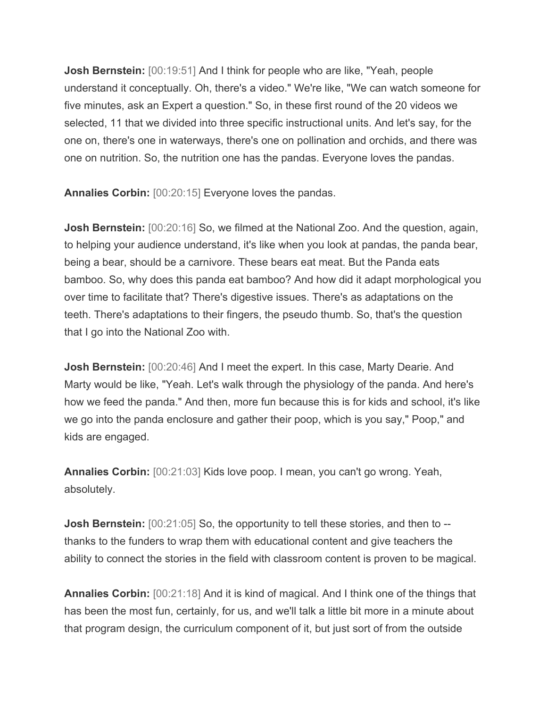**Josh Bernstein:** [00:19:51] And I think for people who are like, "Yeah, people understand it conceptually. Oh, there's a video." We're like, "We can watch someone for five minutes, ask an Expert a question." So, in these first round of the 20 videos we selected, 11 that we divided into three specific instructional units. And let's say, for the one on, there's one in waterways, there's one on pollination and orchids, and there was one on nutrition. So, the nutrition one has the pandas. Everyone loves the pandas.

**Annalies Corbin:** [00:20:15] Everyone loves the pandas.

**Josh Bernstein:** [00:20:16] So, we filmed at the National Zoo. And the question, again, to helping your audience understand, it's like when you look at pandas, the panda bear, being a bear, should be a carnivore. These bears eat meat. But the Panda eats bamboo. So, why does this panda eat bamboo? And how did it adapt morphological you over time to facilitate that? There's digestive issues. There's as adaptations on the teeth. There's adaptations to their fingers, the pseudo thumb. So, that's the question that I go into the National Zoo with.

**Josh Bernstein:** [00:20:46] And I meet the expert. In this case, Marty Dearie. And Marty would be like, "Yeah. Let's walk through the physiology of the panda. And here's how we feed the panda." And then, more fun because this is for kids and school, it's like we go into the panda enclosure and gather their poop, which is you say," Poop," and kids are engaged.

**Annalies Corbin:** [00:21:03] Kids love poop. I mean, you can't go wrong. Yeah, absolutely.

**Josh Bernstein:** [00:21:05] So, the opportunity to tell these stories, and then to -thanks to the funders to wrap them with educational content and give teachers the ability to connect the stories in the field with classroom content is proven to be magical.

**Annalies Corbin:** [00:21:18] And it is kind of magical. And I think one of the things that has been the most fun, certainly, for us, and we'll talk a little bit more in a minute about that program design, the curriculum component of it, but just sort of from the outside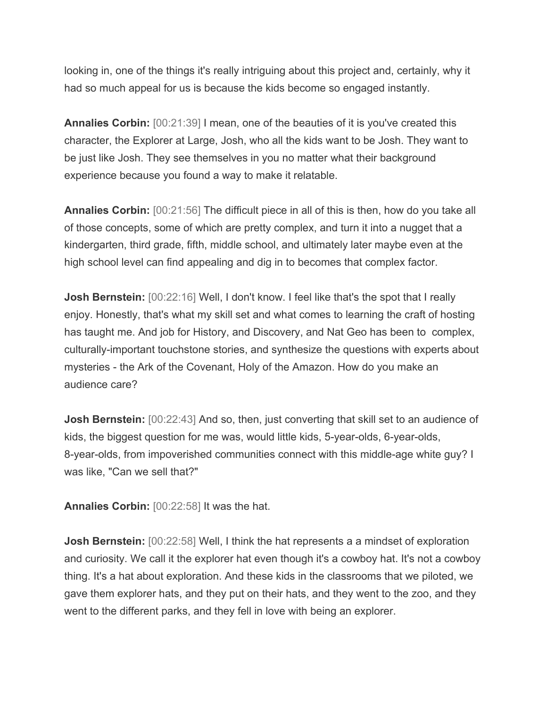looking in, one of the things it's really intriguing about this project and, certainly, why it had so much appeal for us is because the kids become so engaged instantly.

**Annalies Corbin:** [00:21:39] I mean, one of the beauties of it is you've created this character, the Explorer at Large, Josh, who all the kids want to be Josh. They want to be just like Josh. They see themselves in you no matter what their background experience because you found a way to make it relatable.

**Annalies Corbin:** [00:21:56] The difficult piece in all of this is then, how do you take all of those concepts, some of which are pretty complex, and turn it into a nugget that a kindergarten, third grade, fifth, middle school, and ultimately later maybe even at the high school level can find appealing and dig in to becomes that complex factor.

**Josh Bernstein:**  $[00:22:16]$  Well, I don't know. I feel like that's the spot that I really enjoy. Honestly, that's what my skill set and what comes to learning the craft of hosting has taught me. And job for History, and Discovery, and Nat Geo has been to complex, culturally-important touchstone stories, and synthesize the questions with experts about mysteries - the Ark of the Covenant, Holy of the Amazon. How do you make an audience care?

**Josh Bernstein:** [00:22:43] And so, then, just converting that skill set to an audience of kids, the biggest question for me was, would little kids, 5-year-olds, 6-year-olds, 8-year-olds, from impoverished communities connect with this middle-age white guy? I was like, "Can we sell that?"

**Annalies Corbin:** [00:22:58] It was the hat.

**Josh Bernstein:** [00:22:58] Well, I think the hat represents a a mindset of exploration and curiosity. We call it the explorer hat even though it's a cowboy hat. It's not a cowboy thing. It's a hat about exploration. And these kids in the classrooms that we piloted, we gave them explorer hats, and they put on their hats, and they went to the zoo, and they went to the different parks, and they fell in love with being an explorer.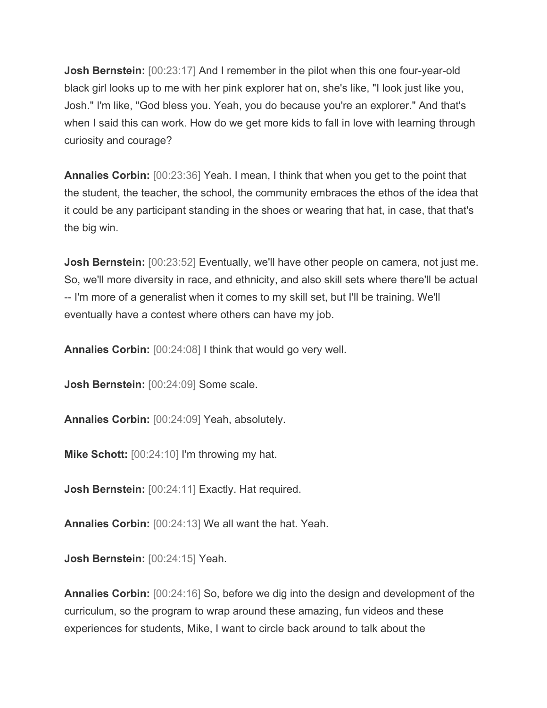**Josh Bernstein:** [00:23:17] And I remember in the pilot when this one four-year-old black girl looks up to me with her pink explorer hat on, she's like, "I look just like you, Josh." I'm like, "God bless you. Yeah, you do because you're an explorer." And that's when I said this can work. How do we get more kids to fall in love with learning through curiosity and courage?

**Annalies Corbin:** [00:23:36] Yeah. I mean, I think that when you get to the point that the student, the teacher, the school, the community embraces the ethos of the idea that it could be any participant standing in the shoes or wearing that hat, in case, that that's the big win.

**Josh Bernstein:** [00:23:52] Eventually, we'll have other people on camera, not just me. So, we'll more diversity in race, and ethnicity, and also skill sets where there'll be actual -- I'm more of a generalist when it comes to my skill set, but I'll be training. We'll eventually have a contest where others can have my job.

**Annalies Corbin:** [00:24:08] I think that would go very well.

**Josh Bernstein:** [00:24:09] Some scale.

**Annalies Corbin:** [00:24:09] Yeah, absolutely.

**Mike Schott:** [00:24:10] I'm throwing my hat.

**Josh Bernstein:** [00:24:11] Exactly. Hat required.

**Annalies Corbin:** [00:24:13] We all want the hat. Yeah.

**Josh Bernstein:** [00:24:15] Yeah.

**Annalies Corbin:** [00:24:16] So, before we dig into the design and development of the curriculum, so the program to wrap around these amazing, fun videos and these experiences for students, Mike, I want to circle back around to talk about the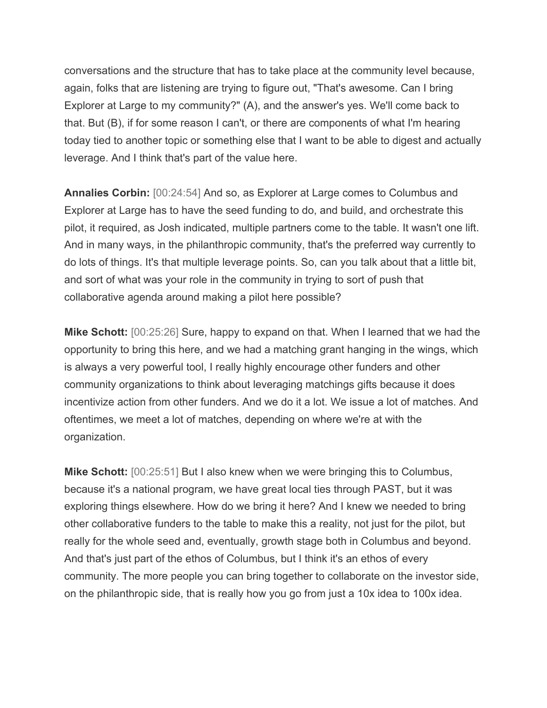conversations and the structure that has to take place at the community level because, again, folks that are listening are trying to figure out, "That's awesome. Can I bring Explorer at Large to my community?" (A), and the answer's yes. We'll come back to that. But (B), if for some reason I can't, or there are components of what I'm hearing today tied to another topic or something else that I want to be able to digest and actually leverage. And I think that's part of the value here.

**Annalies Corbin:** [00:24:54] And so, as Explorer at Large comes to Columbus and Explorer at Large has to have the seed funding to do, and build, and orchestrate this pilot, it required, as Josh indicated, multiple partners come to the table. It wasn't one lift. And in many ways, in the philanthropic community, that's the preferred way currently to do lots of things. It's that multiple leverage points. So, can you talk about that a little bit, and sort of what was your role in the community in trying to sort of push that collaborative agenda around making a pilot here possible?

**Mike Schott:** [00:25:26] Sure, happy to expand on that. When I learned that we had the opportunity to bring this here, and we had a matching grant hanging in the wings, which is always a very powerful tool, I really highly encourage other funders and other community organizations to think about leveraging matchings gifts because it does incentivize action from other funders. And we do it a lot. We issue a lot of matches. And oftentimes, we meet a lot of matches, depending on where we're at with the organization.

**Mike Schott:** [00:25:51] But I also knew when we were bringing this to Columbus, because it's a national program, we have great local ties through PAST, but it was exploring things elsewhere. How do we bring it here? And I knew we needed to bring other collaborative funders to the table to make this a reality, not just for the pilot, but really for the whole seed and, eventually, growth stage both in Columbus and beyond. And that's just part of the ethos of Columbus, but I think it's an ethos of every community. The more people you can bring together to collaborate on the investor side, on the philanthropic side, that is really how you go from just a 10x idea to 100x idea.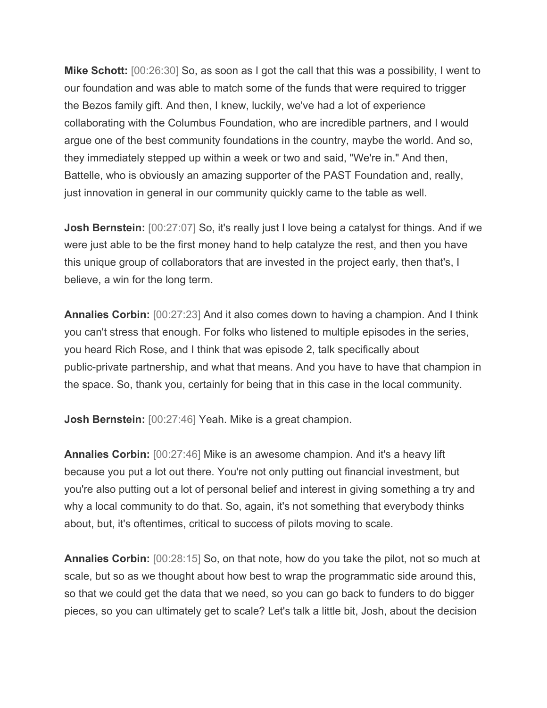**Mike Schott:** [00:26:30] So, as soon as I got the call that this was a possibility, I went to our foundation and was able to match some of the funds that were required to trigger the Bezos family gift. And then, I knew, luckily, we've had a lot of experience collaborating with the Columbus Foundation, who are incredible partners, and I would argue one of the best community foundations in the country, maybe the world. And so, they immediately stepped up within a week or two and said, "We're in." And then, Battelle, who is obviously an amazing supporter of the PAST Foundation and, really, just innovation in general in our community quickly came to the table as well.

**Josh Bernstein:** [00:27:07] So, it's really just I love being a catalyst for things. And if we were just able to be the first money hand to help catalyze the rest, and then you have this unique group of collaborators that are invested in the project early, then that's, I believe, a win for the long term.

**Annalies Corbin:** [00:27:23] And it also comes down to having a champion. And I think you can't stress that enough. For folks who listened to multiple episodes in the series, you heard Rich Rose, and I think that was episode 2, talk specifically about public-private partnership, and what that means. And you have to have that champion in the space. So, thank you, certainly for being that in this case in the local community.

**Josh Bernstein:** [00:27:46] Yeah. Mike is a great champion.

**Annalies Corbin:** [00:27:46] Mike is an awesome champion. And it's a heavy lift because you put a lot out there. You're not only putting out financial investment, but you're also putting out a lot of personal belief and interest in giving something a try and why a local community to do that. So, again, it's not something that everybody thinks about, but, it's oftentimes, critical to success of pilots moving to scale.

**Annalies Corbin:** [00:28:15] So, on that note, how do you take the pilot, not so much at scale, but so as we thought about how best to wrap the programmatic side around this, so that we could get the data that we need, so you can go back to funders to do bigger pieces, so you can ultimately get to scale? Let's talk a little bit, Josh, about the decision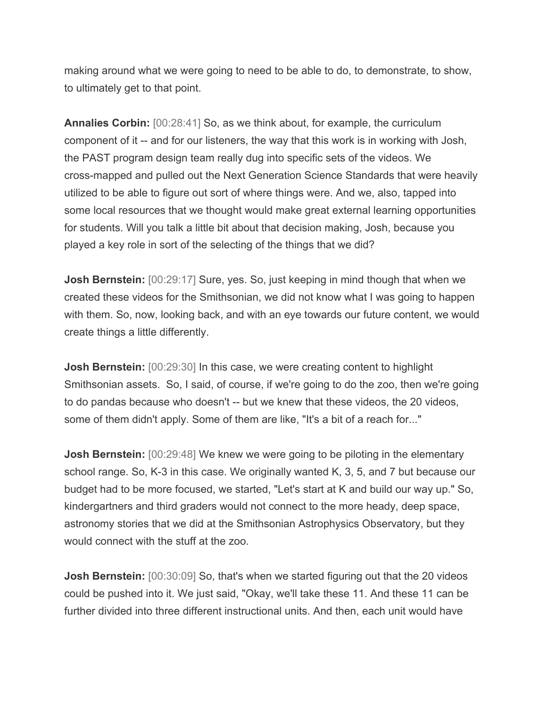making around what we were going to need to be able to do, to demonstrate, to show, to ultimately get to that point.

**Annalies Corbin:** [00:28:41] So, as we think about, for example, the curriculum component of it -- and for our listeners, the way that this work is in working with Josh, the PAST program design team really dug into specific sets of the videos. We cross-mapped and pulled out the Next Generation Science Standards that were heavily utilized to be able to figure out sort of where things were. And we, also, tapped into some local resources that we thought would make great external learning opportunities for students. Will you talk a little bit about that decision making, Josh, because you played a key role in sort of the selecting of the things that we did?

**Josh Bernstein:** [00:29:17] Sure, yes. So, just keeping in mind though that when we created these videos for the Smithsonian, we did not know what I was going to happen with them. So, now, looking back, and with an eye towards our future content, we would create things a little differently.

**Josh Bernstein:** [00:29:30] In this case, we were creating content to highlight Smithsonian assets. So, I said, of course, if we're going to do the zoo, then we're going to do pandas because who doesn't -- but we knew that these videos, the 20 videos, some of them didn't apply. Some of them are like, "It's a bit of a reach for..."

**Josh Bernstein:** [00:29:48] We knew we were going to be piloting in the elementary school range. So, K-3 in this case. We originally wanted K, 3, 5, and 7 but because our budget had to be more focused, we started, "Let's start at K and build our way up." So, kindergartners and third graders would not connect to the more heady, deep space, astronomy stories that we did at the Smithsonian Astrophysics Observatory, but they would connect with the stuff at the zoo.

**Josh Bernstein:** [00:30:09] So, that's when we started figuring out that the 20 videos could be pushed into it. We just said, "Okay, we'll take these 11. And these 11 can be further divided into three different instructional units. And then, each unit would have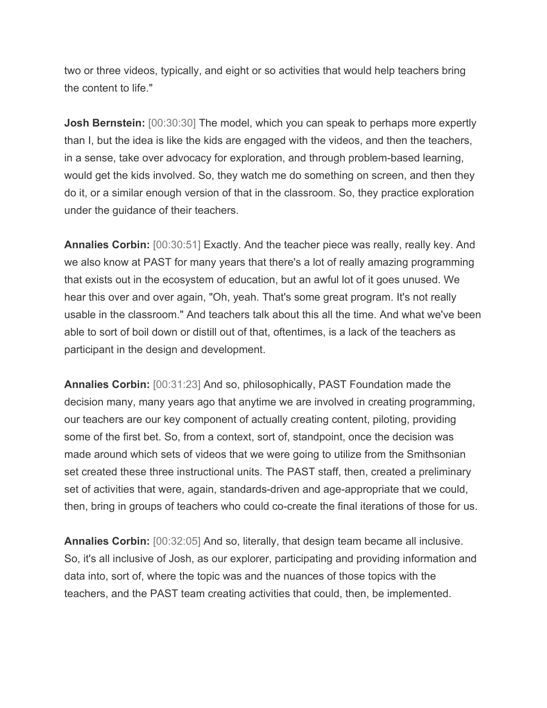two or three videos, typically, and eight or so activities that would help teachers bring the content to life."

**Josh Bernstein:** [00:30:30] The model, which you can speak to perhaps more expertly than I, but the idea is like the kids are engaged with the videos, and then the teachers, in a sense, take over advocacy for exploration, and through problem-based learning, would get the kids involved. So, they watch me do something on screen, and then they do it, or a similar enough version of that in the classroom. So, they practice exploration under the guidance of their teachers.

**Annalies Corbin:** [00:30:51] Exactly. And the teacher piece was really, really key. And we also know at PAST for many years that there's a lot of really amazing programming that exists out in the ecosystem of education, but an awful lot of it goes unused. We hear this over and over again, "Oh, yeah. That's some great program. It's not really usable in the classroom." And teachers talk about this all the time. And what we've been able to sort of boil down or distill out of that, oftentimes, is a lack of the teachers as participant in the design and development.

**Annalies Corbin:** [00:31:23] And so, philosophically, PAST Foundation made the decision many, many years ago that anytime we are involved in creating programming, our teachers are our key component of actually creating content, piloting, providing some of the first bet. So, from a context, sort of, standpoint, once the decision was made around which sets of videos that we were going to utilize from the Smithsonian set created these three instructional units. The PAST staff, then, created a preliminary set of activities that were, again, standards-driven and age-appropriate that we could, then, bring in groups of teachers who could co-create the final iterations of those for us.

**Annalies Corbin:** [00:32:05] And so, literally, that design team became all inclusive. So, it's all inclusive of Josh, as our explorer, participating and providing information and data into, sort of, where the topic was and the nuances of those topics with the teachers, and the PAST team creating activities that could, then, be implemented.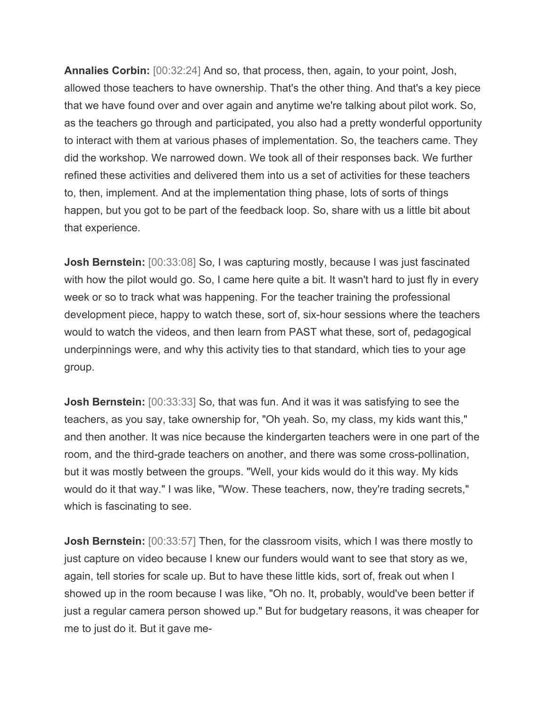**Annalies Corbin:** [00:32:24] And so, that process, then, again, to your point, Josh, allowed those teachers to have ownership. That's the other thing. And that's a key piece that we have found over and over again and anytime we're talking about pilot work. So, as the teachers go through and participated, you also had a pretty wonderful opportunity to interact with them at various phases of implementation. So, the teachers came. They did the workshop. We narrowed down. We took all of their responses back. We further refined these activities and delivered them into us a set of activities for these teachers to, then, implement. And at the implementation thing phase, lots of sorts of things happen, but you got to be part of the feedback loop. So, share with us a little bit about that experience.

**Josh Bernstein:** [00:33:08] So, I was capturing mostly, because I was just fascinated with how the pilot would go. So, I came here quite a bit. It wasn't hard to just fly in every week or so to track what was happening. For the teacher training the professional development piece, happy to watch these, sort of, six-hour sessions where the teachers would to watch the videos, and then learn from PAST what these, sort of, pedagogical underpinnings were, and why this activity ties to that standard, which ties to your age group.

**Josh Bernstein:** [00:33:33] So, that was fun. And it was it was satisfying to see the teachers, as you say, take ownership for, "Oh yeah. So, my class, my kids want this," and then another. It was nice because the kindergarten teachers were in one part of the room, and the third-grade teachers on another, and there was some cross-pollination, but it was mostly between the groups. "Well, your kids would do it this way. My kids would do it that way." I was like, "Wow. These teachers, now, they're trading secrets," which is fascinating to see.

**Josh Bernstein:** [00:33:57] Then, for the classroom visits, which I was there mostly to just capture on video because I knew our funders would want to see that story as we, again, tell stories for scale up. But to have these little kids, sort of, freak out when I showed up in the room because I was like, "Oh no. It, probably, would've been better if just a regular camera person showed up." But for budgetary reasons, it was cheaper for me to just do it. But it gave me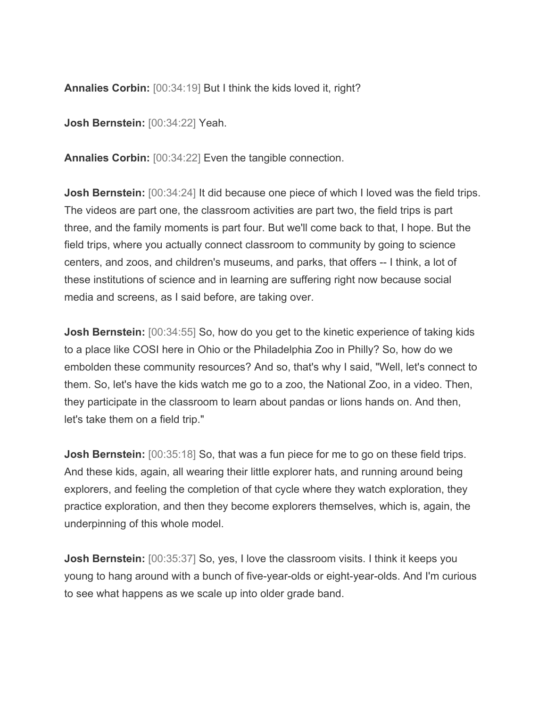**Annalies Corbin:** [00:34:19] But I think the kids loved it, right?

**Josh Bernstein:** [00:34:22] Yeah.

**Annalies Corbin:** [00:34:22] Even the tangible connection.

**Josh Bernstein:** [00:34:24] It did because one piece of which I loved was the field trips. The videos are part one, the classroom activities are part two, the field trips is part three, and the family moments is part four. But we'll come back to that, I hope. But the field trips, where you actually connect classroom to community by going to science centers, and zoos, and children's museums, and parks, that offers -- I think, a lot of these institutions of science and in learning are suffering right now because social media and screens, as I said before, are taking over.

**Josh Bernstein:** [00:34:55] So, how do you get to the kinetic experience of taking kids to a place like COSI here in Ohio or the Philadelphia Zoo in Philly? So, how do we embolden these community resources? And so, that's why I said, "Well, let's connect to them. So, let's have the kids watch me go to a zoo, the National Zoo, in a video. Then, they participate in the classroom to learn about pandas or lions hands on. And then, let's take them on a field trip."

**Josh Bernstein:** [00:35:18] So, that was a fun piece for me to go on these field trips. And these kids, again, all wearing their little explorer hats, and running around being explorers, and feeling the completion of that cycle where they watch exploration, they practice exploration, and then they become explorers themselves, which is, again, the underpinning of this whole model.

**Josh Bernstein:** [00:35:37] So, yes, I love the classroom visits. I think it keeps you young to hang around with a bunch of five-year-olds or eight-year-olds. And I'm curious to see what happens as we scale up into older grade band.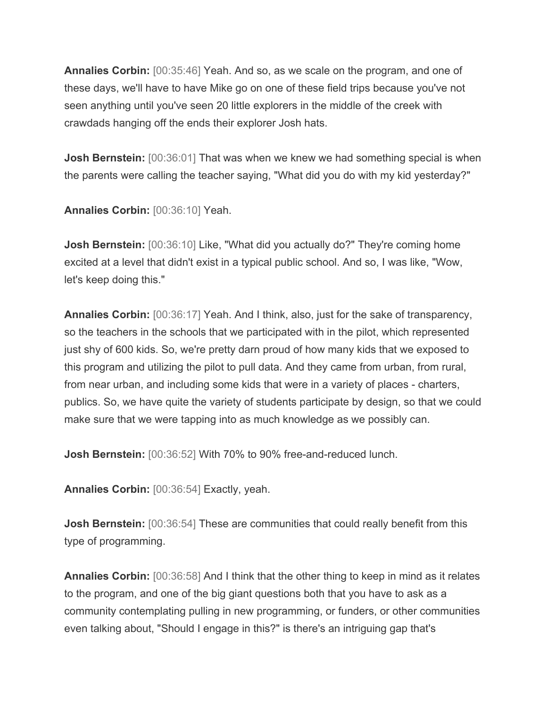**Annalies Corbin:** [00:35:46] Yeah. And so, as we scale on the program, and one of these days, we'll have to have Mike go on one of these field trips because you've not seen anything until you've seen 20 little explorers in the middle of the creek with crawdads hanging off the ends their explorer Josh hats.

**Josh Bernstein:** [00:36:01] That was when we knew we had something special is when the parents were calling the teacher saying, "What did you do with my kid yesterday?"

**Annalies Corbin:** [00:36:10] Yeah.

**Josh Bernstein:** [00:36:10] Like, "What did you actually do?" They're coming home excited at a level that didn't exist in a typical public school. And so, I was like, "Wow, let's keep doing this."

**Annalies Corbin:** [00:36:17] Yeah. And I think, also, just for the sake of transparency, so the teachers in the schools that we participated with in the pilot, which represented just shy of 600 kids. So, we're pretty darn proud of how many kids that we exposed to this program and utilizing the pilot to pull data. And they came from urban, from rural, from near urban, and including some kids that were in a variety of places - charters, publics. So, we have quite the variety of students participate by design, so that we could make sure that we were tapping into as much knowledge as we possibly can.

**Josh Bernstein:** [00:36:52] With 70% to 90% free-and-reduced lunch.

**Annalies Corbin:** [00:36:54] Exactly, yeah.

**Josh Bernstein:** [00:36:54] These are communities that could really benefit from this type of programming.

**Annalies Corbin:** [00:36:58] And I think that the other thing to keep in mind as it relates to the program, and one of the big giant questions both that you have to ask as a community contemplating pulling in new programming, or funders, or other communities even talking about, "Should I engage in this?" is there's an intriguing gap that's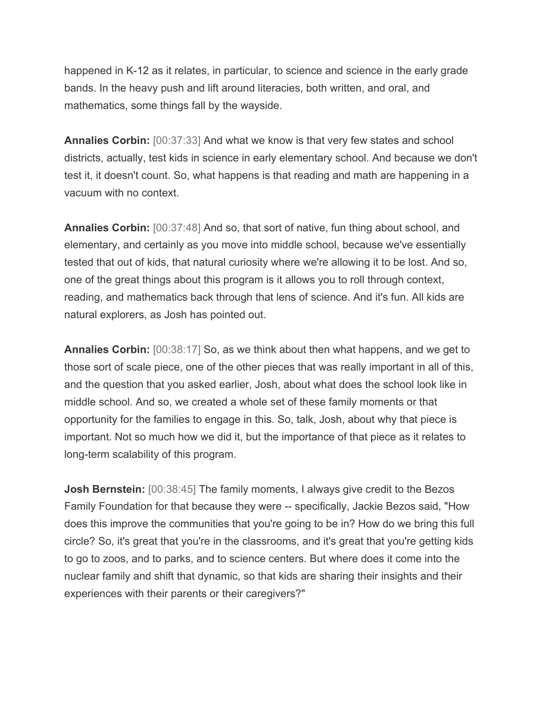happened in K-12 as it relates, in particular, to science and science in the early grade bands. In the heavy push and lift around literacies, both written, and oral, and mathematics, some things fall by the wayside.

**Annalies Corbin:** [00:37:33] And what we know is that very few states and school districts, actually, test kids in science in early elementary school. And because we don't test it, it doesn't count. So, what happens is that reading and math are happening in a vacuum with no context.

**Annalies Corbin:** [00:37:48] And so, that sort of native, fun thing about school, and elementary, and certainly as you move into middle school, because we've essentially tested that out of kids, that natural curiosity where we're allowing it to be lost. And so, one of the great things about this program is it allows you to roll through context, reading, and mathematics back through that lens of science. And it's fun. All kids are natural explorers, as Josh has pointed out.

**Annalies Corbin:** [00:38:17] So, as we think about then what happens, and we get to those sort of scale piece, one of the other pieces that was really important in all of this, and the question that you asked earlier, Josh, about what does the school look like in middle school. And so, we created a whole set of these family moments or that opportunity for the families to engage in this. So, talk, Josh, about why that piece is important. Not so much how we did it, but the importance of that piece as it relates to long-term scalability of this program.

**Josh Bernstein:** [00:38:45] The family moments, I always give credit to the Bezos Family Foundation for that because they were -- specifically, Jackie Bezos said, "How does this improve the communities that you're going to be in? How do we bring this full circle? So, it's great that you're in the classrooms, and it's great that you're getting kids to go to zoos, and to parks, and to science centers. But where does it come into the nuclear family and shift that dynamic, so that kids are sharing their insights and their experiences with their parents or their caregivers?"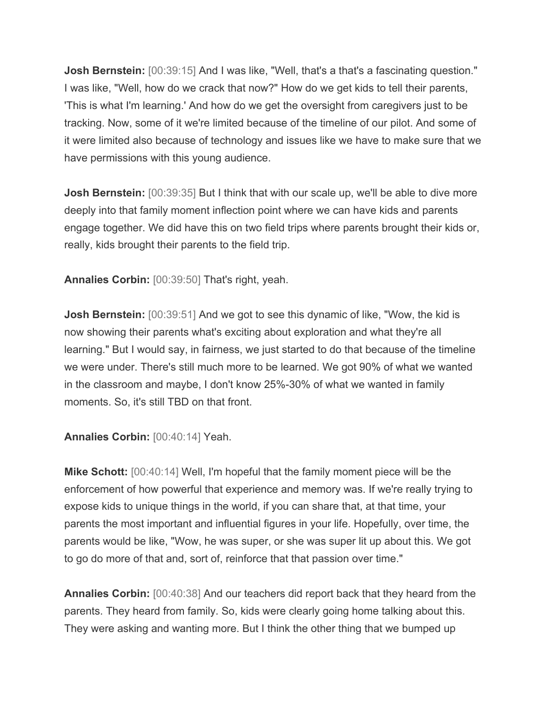**Josh Bernstein:** [00:39:15] And I was like, "Well, that's a that's a fascinating question." I was like, "Well, how do we crack that now?" How do we get kids to tell their parents, 'This is what I'm learning.' And how do we get the oversight from caregivers just to be tracking. Now, some of it we're limited because of the timeline of our pilot. And some of it were limited also because of technology and issues like we have to make sure that we have permissions with this young audience.

**Josh Bernstein:** [00:39:35] But I think that with our scale up, we'll be able to dive more deeply into that family moment inflection point where we can have kids and parents engage together. We did have this on two field trips where parents brought their kids or, really, kids brought their parents to the field trip.

**Annalies Corbin:** [00:39:50] That's right, yeah.

**Josh Bernstein:** [00:39:51] And we got to see this dynamic of like, "Wow, the kid is now showing their parents what's exciting about exploration and what they're all learning." But I would say, in fairness, we just started to do that because of the timeline we were under. There's still much more to be learned. We got 90% of what we wanted in the classroom and maybe, I don't know 25%-30% of what we wanted in family moments. So, it's still TBD on that front.

**Annalies Corbin:** [00:40:14] Yeah.

**Mike Schott:** [00:40:14] Well, I'm hopeful that the family moment piece will be the enforcement of how powerful that experience and memory was. If we're really trying to expose kids to unique things in the world, if you can share that, at that time, your parents the most important and influential figures in your life. Hopefully, over time, the parents would be like, "Wow, he was super, or she was super lit up about this. We got to go do more of that and, sort of, reinforce that that passion over time."

**Annalies Corbin:** [00:40:38] And our teachers did report back that they heard from the parents. They heard from family. So, kids were clearly going home talking about this. They were asking and wanting more. But I think the other thing that we bumped up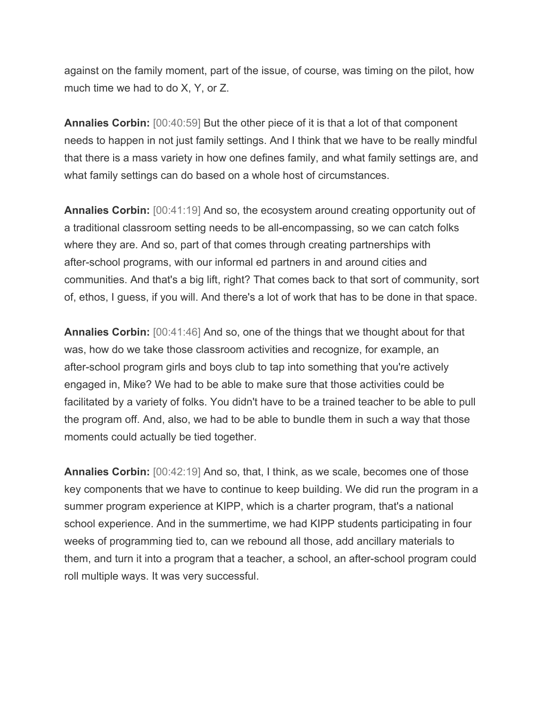against on the family moment, part of the issue, of course, was timing on the pilot, how much time we had to do X, Y, or Z.

**Annalies Corbin:** [00:40:59] But the other piece of it is that a lot of that component needs to happen in not just family settings. And I think that we have to be really mindful that there is a mass variety in how one defines family, and what family settings are, and what family settings can do based on a whole host of circumstances.

**Annalies Corbin:** [00:41:19] And so, the ecosystem around creating opportunity out of a traditional classroom setting needs to be all-encompassing, so we can catch folks where they are. And so, part of that comes through creating partnerships with after-school programs, with our informal ed partners in and around cities and communities. And that's a big lift, right? That comes back to that sort of community, sort of, ethos, I guess, if you will. And there's a lot of work that has to be done in that space.

**Annalies Corbin:** [00:41:46] And so, one of the things that we thought about for that was, how do we take those classroom activities and recognize, for example, an after-school program girls and boys club to tap into something that you're actively engaged in, Mike? We had to be able to make sure that those activities could be facilitated by a variety of folks. You didn't have to be a trained teacher to be able to pull the program off. And, also, we had to be able to bundle them in such a way that those moments could actually be tied together.

**Annalies Corbin:** [00:42:19] And so, that, I think, as we scale, becomes one of those key components that we have to continue to keep building. We did run the program in a summer program experience at KIPP, which is a charter program, that's a national school experience. And in the summertime, we had KIPP students participating in four weeks of programming tied to, can we rebound all those, add ancillary materials to them, and turn it into a program that a teacher, a school, an after-school program could roll multiple ways. It was very successful.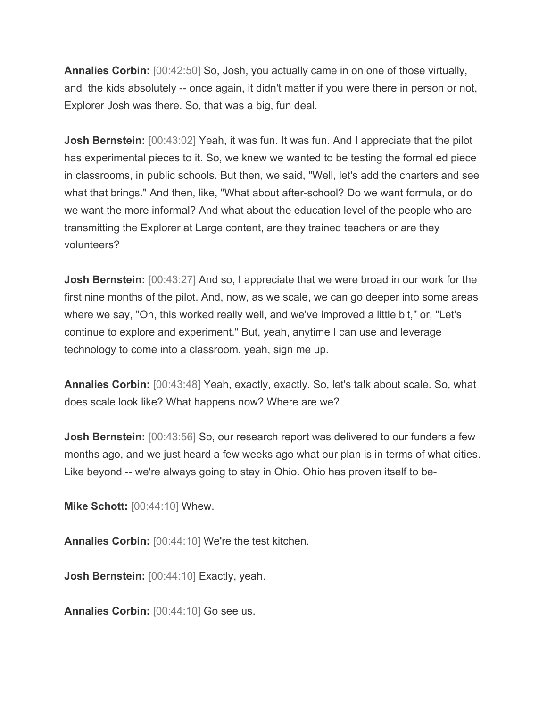**Annalies Corbin:** [00:42:50] So, Josh, you actually came in on one of those virtually, and the kids absolutely -- once again, it didn't matter if you were there in person or not, Explorer Josh was there. So, that was a big, fun deal.

**Josh Bernstein:** [00:43:02] Yeah, it was fun. It was fun. And I appreciate that the pilot has experimental pieces to it. So, we knew we wanted to be testing the formal ed piece in classrooms, in public schools. But then, we said, "Well, let's add the charters and see what that brings." And then, like, "What about after-school? Do we want formula, or do we want the more informal? And what about the education level of the people who are transmitting the Explorer at Large content, are they trained teachers or are they volunteers?

**Josh Bernstein:** [00:43:27] And so, I appreciate that we were broad in our work for the first nine months of the pilot. And, now, as we scale, we can go deeper into some areas where we say, "Oh, this worked really well, and we've improved a little bit," or, "Let's continue to explore and experiment." But, yeah, anytime I can use and leverage technology to come into a classroom, yeah, sign me up.

**Annalies Corbin:** [00:43:48] Yeah, exactly, exactly. So, let's talk about scale. So, what does scale look like? What happens now? Where are we?

**Josh Bernstein:** [00:43:56] So, our research report was delivered to our funders a few months ago, and we just heard a few weeks ago what our plan is in terms of what cities. Like beyond -- we're always going to stay in Ohio. Ohio has proven itself to be-

**Mike Schott:** [00:44:10] Whew.

**Annalies Corbin:** [00:44:10] We're the test kitchen.

**Josh Bernstein:** [00:44:10] Exactly, yeah.

**Annalies Corbin:** [00:44:10] Go see us.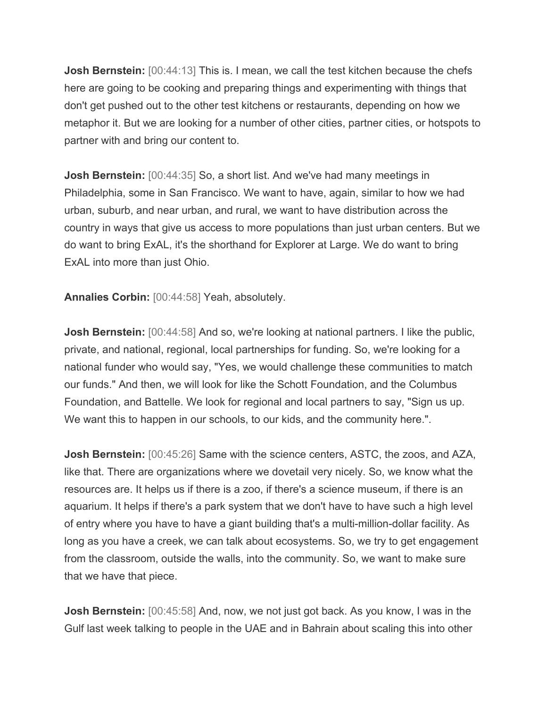**Josh Bernstein:** [00:44:13] This is. I mean, we call the test kitchen because the chefs here are going to be cooking and preparing things and experimenting with things that don't get pushed out to the other test kitchens or restaurants, depending on how we metaphor it. But we are looking for a number of other cities, partner cities, or hotspots to partner with and bring our content to.

**Josh Bernstein:** [00:44:35] So, a short list. And we've had many meetings in Philadelphia, some in San Francisco. We want to have, again, similar to how we had urban, suburb, and near urban, and rural, we want to have distribution across the country in ways that give us access to more populations than just urban centers. But we do want to bring ExAL, it's the shorthand for Explorer at Large. We do want to bring ExAL into more than just Ohio.

**Annalies Corbin:** [00:44:58] Yeah, absolutely.

**Josh Bernstein:** [00:44:58] And so, we're looking at national partners. I like the public, private, and national, regional, local partnerships for funding. So, we're looking for a national funder who would say, "Yes, we would challenge these communities to match our funds." And then, we will look for like the Schott Foundation, and the Columbus Foundation, and Battelle. We look for regional and local partners to say, "Sign us up. We want this to happen in our schools, to our kids, and the community here.".

**Josh Bernstein:** [00:45:26] Same with the science centers, ASTC, the zoos, and AZA, like that. There are organizations where we dovetail very nicely. So, we know what the resources are. It helps us if there is a zoo, if there's a science museum, if there is an aquarium. It helps if there's a park system that we don't have to have such a high level of entry where you have to have a giant building that's a multi-million-dollar facility. As long as you have a creek, we can talk about ecosystems. So, we try to get engagement from the classroom, outside the walls, into the community. So, we want to make sure that we have that piece.

**Josh Bernstein:** [00:45:58] And, now, we not just got back. As you know, I was in the Gulf last week talking to people in the UAE and in Bahrain about scaling this into other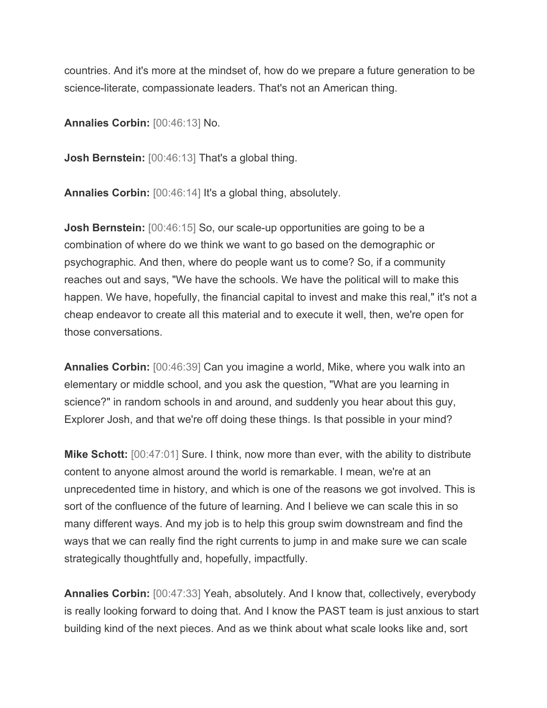countries. And it's more at the mindset of, how do we prepare a future generation to be science-literate, compassionate leaders. That's not an American thing.

**Annalies Corbin:** [00:46:13] No.

**Josh Bernstein:** [00:46:13] That's a global thing.

**Annalies Corbin:** [00:46:14] It's a global thing, absolutely.

**Josh Bernstein:** [00:46:15] So, our scale-up opportunities are going to be a combination of where do we think we want to go based on the demographic or psychographic. And then, where do people want us to come? So, if a community reaches out and says, "We have the schools. We have the political will to make this happen. We have, hopefully, the financial capital to invest and make this real," it's not a cheap endeavor to create all this material and to execute it well, then, we're open for those conversations.

**Annalies Corbin:** [00:46:39] Can you imagine a world, Mike, where you walk into an elementary or middle school, and you ask the question, "What are you learning in science?" in random schools in and around, and suddenly you hear about this guy, Explorer Josh, and that we're off doing these things. Is that possible in your mind?

**Mike Schott:** [00:47:01] Sure. I think, now more than ever, with the ability to distribute content to anyone almost around the world is remarkable. I mean, we're at an unprecedented time in history, and which is one of the reasons we got involved. This is sort of the confluence of the future of learning. And I believe we can scale this in so many different ways. And my job is to help this group swim downstream and find the ways that we can really find the right currents to jump in and make sure we can scale strategically thoughtfully and, hopefully, impactfully.

**Annalies Corbin:** [00:47:33] Yeah, absolutely. And I know that, collectively, everybody is really looking forward to doing that. And I know the PAST team is just anxious to start building kind of the next pieces. And as we think about what scale looks like and, sort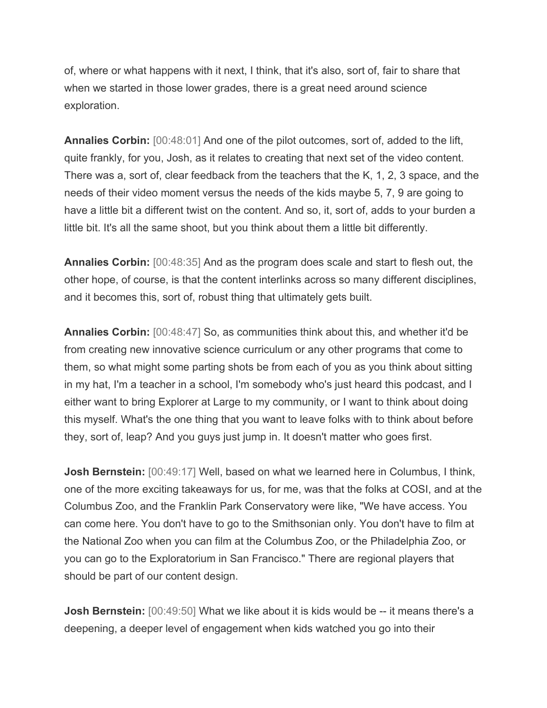of, where or what happens with it next, I think, that it's also, sort of, fair to share that when we started in those lower grades, there is a great need around science exploration.

**Annalies Corbin:** [00:48:01] And one of the pilot outcomes, sort of, added to the lift, quite frankly, for you, Josh, as it relates to creating that next set of the video content. There was a, sort of, clear feedback from the teachers that the K, 1, 2, 3 space, and the needs of their video moment versus the needs of the kids maybe 5, 7, 9 are going to have a little bit a different twist on the content. And so, it, sort of, adds to your burden a little bit. It's all the same shoot, but you think about them a little bit differently.

**Annalies Corbin:** [00:48:35] And as the program does scale and start to flesh out, the other hope, of course, is that the content interlinks across so many different disciplines, and it becomes this, sort of, robust thing that ultimately gets built.

**Annalies Corbin:** [00:48:47] So, as communities think about this, and whether it'd be from creating new innovative science curriculum or any other programs that come to them, so what might some parting shots be from each of you as you think about sitting in my hat, I'm a teacher in a school, I'm somebody who's just heard this podcast, and I either want to bring Explorer at Large to my community, or I want to think about doing this myself. What's the one thing that you want to leave folks with to think about before they, sort of, leap? And you guys just jump in. It doesn't matter who goes first.

**Josh Bernstein:** [00:49:17] Well, based on what we learned here in Columbus, I think, one of the more exciting takeaways for us, for me, was that the folks at COSI, and at the Columbus Zoo, and the Franklin Park Conservatory were like, "We have access. You can come here. You don't have to go to the Smithsonian only. You don't have to film at the National Zoo when you can film at the Columbus Zoo, or the Philadelphia Zoo, or you can go to the Exploratorium in San Francisco." There are regional players that should be part of our content design.

**Josh Bernstein:** [00:49:50] What we like about it is kids would be -- it means there's a deepening, a deeper level of engagement when kids watched you go into their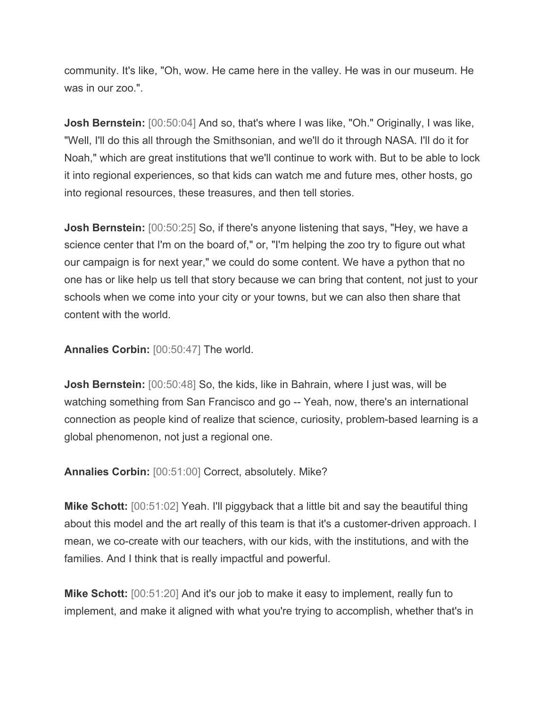community. It's like, "Oh, wow. He came here in the valley. He was in our museum. He was in our zoo.".

**Josh Bernstein:** [00:50:04] And so, that's where I was like, "Oh." Originally, I was like, "Well, I'll do this all through the Smithsonian, and we'll do it through NASA. I'll do it for Noah," which are great institutions that we'll continue to work with. But to be able to lock it into regional experiences, so that kids can watch me and future mes, other hosts, go into regional resources, these treasures, and then tell stories.

**Josh Bernstein:** [00:50:25] So, if there's anyone listening that says, "Hey, we have a science center that I'm on the board of," or, "I'm helping the zoo try to figure out what our campaign is for next year," we could do some content. We have a python that no one has or like help us tell that story because we can bring that content, not just to your schools when we come into your city or your towns, but we can also then share that content with the world.

**Annalies Corbin:** [00:50:47] The world.

**Josh Bernstein:** [00:50:48] So, the kids, like in Bahrain, where I just was, will be watching something from San Francisco and go -- Yeah, now, there's an international connection as people kind of realize that science, curiosity, problem-based learning is a global phenomenon, not just a regional one.

**Annalies Corbin:** [00:51:00] Correct, absolutely. Mike?

**Mike Schott:** [00:51:02] Yeah. I'll piggyback that a little bit and say the beautiful thing about this model and the art really of this team is that it's a customer-driven approach. I mean, we co-create with our teachers, with our kids, with the institutions, and with the families. And I think that is really impactful and powerful.

**Mike Schott:** [00:51:20] And it's our job to make it easy to implement, really fun to implement, and make it aligned with what you're trying to accomplish, whether that's in